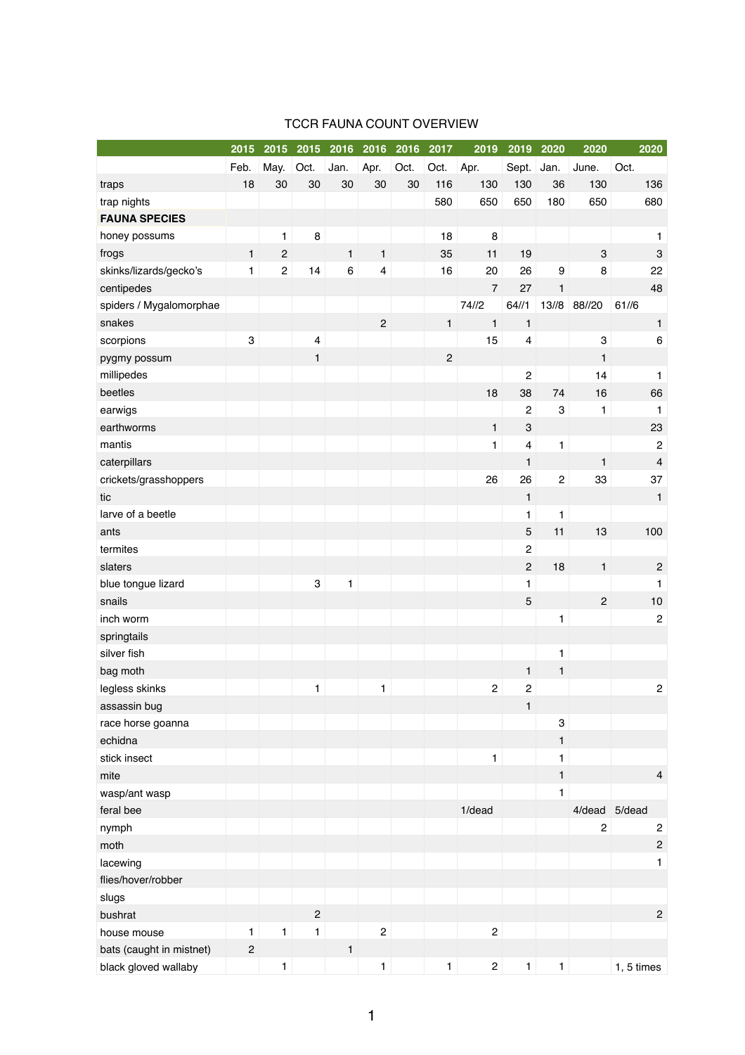|                          | 2015           | 2015           | 2015                      | 2016         | 2016                    | 2016 | 2017           | 2019           | 2019                    | 2020                      | 2020           | 2020           |
|--------------------------|----------------|----------------|---------------------------|--------------|-------------------------|------|----------------|----------------|-------------------------|---------------------------|----------------|----------------|
|                          | Feb.           | May.           | Oct.                      | Jan.         | Apr.                    | Oct. | Oct.           | Apr.           | Sept.                   | Jan.                      | June.          | Oct.           |
| traps                    | 18             | 30             | 30                        | 30           | 30                      | 30   | 116            | 130            | 130                     | 36                        | 130            | 136            |
| trap nights              |                |                |                           |              |                         |      | 580            | 650            | 650                     | 180                       | 650            | 680            |
| <b>FAUNA SPECIES</b>     |                |                |                           |              |                         |      |                |                |                         |                           |                |                |
| honey possums            |                | 1              | $\bf 8$                   |              |                         |      | 18             | 8              |                         |                           |                | 1              |
| frogs                    | $\mathbf{1}$   | $\overline{c}$ |                           | $\mathbf{1}$ | $\mathbf{1}$            |      | 35             | 11             | 19                      |                           | $\mathbf{3}$   | 3              |
| skinks/lizards/gecko's   | $\mathbf{1}$   | $\overline{c}$ | 14                        | $\,6$        | $\overline{\mathbf{4}}$ |      | 16             | 20             | 26                      | $\boldsymbol{9}$          | 8              | 22             |
| centipedes               |                |                |                           |              |                         |      |                | $\overline{7}$ | 27                      | $\mathbf{1}$              |                | 48             |
| spiders / Mygalomorphae  |                |                |                           |              |                         |      |                | 74/2           | 64/1                    | 13/18                     | 88//20         | 61/6           |
| snakes                   |                |                |                           |              | $\overline{2}$          |      | $\mathbf{1}$   | $\mathbf{1}$   | $\mathbf{1}$            |                           |                | $\mathbf{1}$   |
| scorpions                | $\mathbf{3}$   |                | $\overline{4}$            |              |                         |      |                | 15             | $\overline{\mathbf{4}}$ |                           | 3              | $\,6$          |
| pygmy possum             |                |                | $\mathbf{1}$              |              |                         |      | $\overline{2}$ |                |                         |                           | $\mathbf{1}$   |                |
| millipedes               |                |                |                           |              |                         |      |                |                | $\overline{c}$          |                           | 14             | 1              |
| beetles                  |                |                |                           |              |                         |      |                | 18             | 38                      | 74                        | 16             | 66             |
| earwigs                  |                |                |                           |              |                         |      |                |                | $\overline{c}$          | $\ensuremath{\mathsf{3}}$ | 1              | 1              |
| earthworms               |                |                |                           |              |                         |      |                | $\mathbf{1}$   | $\sqrt{3}$              |                           |                | 23             |
| mantis                   |                |                |                           |              |                         |      |                | 1              | $\overline{\mathbf{4}}$ | $\mathbf{1}$              |                | $\overline{2}$ |
| caterpillars             |                |                |                           |              |                         |      |                |                | $\mathbf{1}$            |                           | $\mathbf{1}$   | $\overline{4}$ |
| crickets/grasshoppers    |                |                |                           |              |                         |      |                | 26             | 26                      | $\overline{c}$            | 33             | 37             |
| tic                      |                |                |                           |              |                         |      |                |                | $\mathbf{1}$            |                           |                | $\mathbf{1}$   |
| larve of a beetle        |                |                |                           |              |                         |      |                |                | 1                       | $\mathbf{1}$              |                |                |
| ants                     |                |                |                           |              |                         |      |                |                | $\mathbf 5$             | 11                        | 13             | 100            |
| termites                 |                |                |                           |              |                         |      |                |                | $\overline{c}$          |                           |                |                |
| slaters                  |                |                |                           |              |                         |      |                |                | $\overline{c}$          | 18                        | $\mathbf{1}$   | $\overline{c}$ |
| blue tongue lizard       |                |                | $\ensuremath{\mathsf{3}}$ | $\mathbf{1}$ |                         |      |                |                | 1                       |                           |                | 1              |
| snails                   |                |                |                           |              |                         |      |                |                | $\overline{5}$          |                           | $\overline{2}$ | 10             |
| inch worm                |                |                |                           |              |                         |      |                |                |                         | $\mathbf{1}$              |                | $\overline{2}$ |
| springtails              |                |                |                           |              |                         |      |                |                |                         |                           |                |                |
| silver fish              |                |                |                           |              |                         |      |                |                |                         | $\mathbf{1}$              |                |                |
| bag moth                 |                |                |                           |              |                         |      |                |                | $\mathbf{1}$            | $\mathbf{1}$              |                |                |
| legless skinks           |                |                | $\mathbf{1}$              |              | $\mathbf{1}$            |      |                | $\sqrt{2}$     | $\overline{c}$          |                           |                | $\mathbf{2}$   |
| assassin bug             |                |                |                           |              |                         |      |                |                | $\mathbf{1}$            |                           |                |                |
| race horse goanna        |                |                |                           |              |                         |      |                |                |                         | $\mathbf 3$               |                |                |
| echidna                  |                |                |                           |              |                         |      |                |                |                         | $\mathbf{1}$              |                |                |
| stick insect             |                |                |                           |              |                         |      |                | $\mathbf{1}$   |                         | $\mathbf{1}$              |                |                |
| mite                     |                |                |                           |              |                         |      |                |                |                         | $\mathbf{1}$              |                | $\overline{4}$ |
| wasp/ant wasp            |                |                |                           |              |                         |      |                |                |                         | 1                         |                |                |
| feral bee                |                |                |                           |              |                         |      |                | 1/dead         |                         |                           | 4/dead 5/dead  |                |
| nymph                    |                |                |                           |              |                         |      |                |                |                         |                           | $\mathbf 2$    | $\mathbf{2}$   |
| moth                     |                |                |                           |              |                         |      |                |                |                         |                           |                | $\overline{c}$ |
| lacewing                 |                |                |                           |              |                         |      |                |                |                         |                           |                | 1              |
| flies/hover/robber       |                |                |                           |              |                         |      |                |                |                         |                           |                |                |
| slugs                    |                |                |                           |              |                         |      |                |                |                         |                           |                |                |
| bushrat                  |                |                | $\overline{c}$            |              |                         |      |                |                |                         |                           |                | $\overline{c}$ |
| house mouse              | 1              | $\mathbf{1}$   | $\mathbf{1}$              |              | $\sqrt{2}$              |      |                | $\sqrt{2}$     |                         |                           |                |                |
| bats (caught in mistnet) | $\overline{c}$ |                |                           | $\mathbf{1}$ |                         |      |                |                |                         |                           |                |                |
| black gloved wallaby     |                | 1              |                           |              | 1                       |      | $\mathbf{1}$   | $\mathbf{2}$   | $\mathbf 1$             | $\mathbf{1}$              |                | 1, 5 times     |

## TCCR FAUNA COUNT OVERVIEW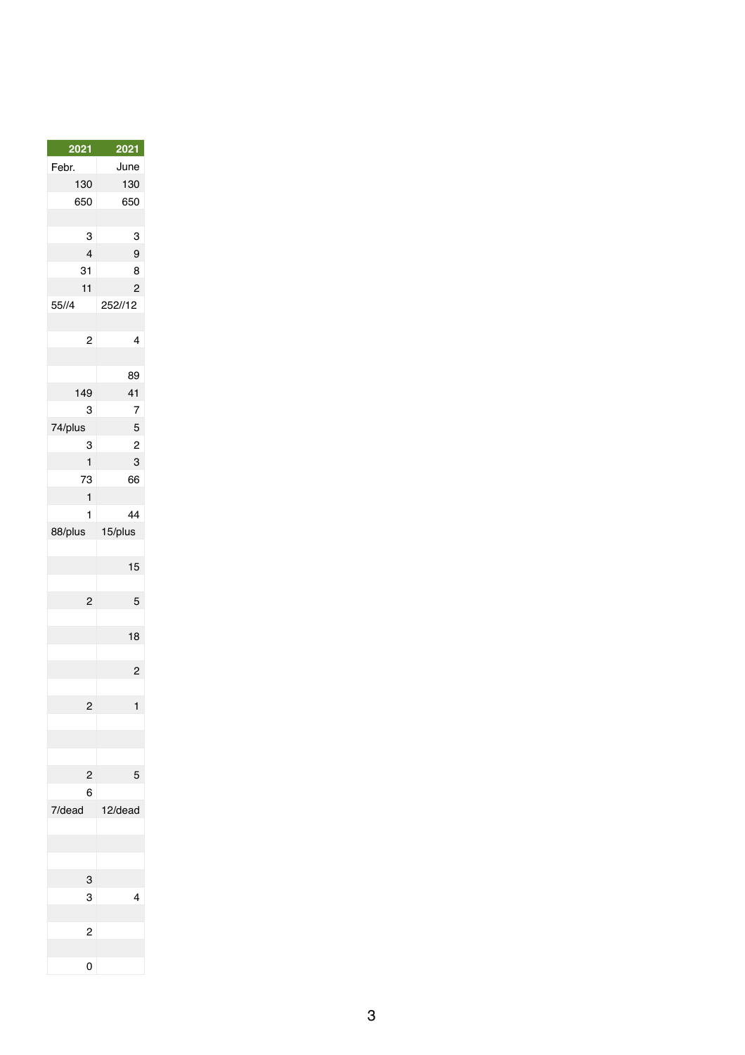| <u>2021</u>    | <b>2021</b>    |
|----------------|----------------|
| Febr.          | June           |
| 130            | 130            |
| 650            | 650            |
|                |                |
| 3              | 3              |
| 4              | 9              |
| 31             | 8              |
| 11             | $\overline{c}$ |
| 55//4          | 252//12        |
|                |                |
| $\overline{2}$ | 4              |
|                |                |
|                | 89             |
| 149            | 41             |
| 3              |                |
|                | 7              |
| 74/plus        | 5              |
| 3              | $\overline{c}$ |
| 1              | 3              |
| 73             | 66             |
| 1              |                |
| 1              | 44             |
| 88/plus        | 15/plus        |
|                |                |
|                | 15             |
|                |                |
| $\overline{c}$ | 5              |
|                |                |
|                | 18             |
|                |                |
|                |                |
|                |                |
| 2              | 1              |
|                |                |
|                |                |
|                |                |
| $\overline{c}$ | 5              |
| 6              |                |
| 7/dead         | 12/dead        |
|                |                |
|                |                |
|                |                |
| 3              |                |
| 3              | 4              |
|                |                |
|                |                |
| $\overline{c}$ |                |
|                |                |
| 0              |                |